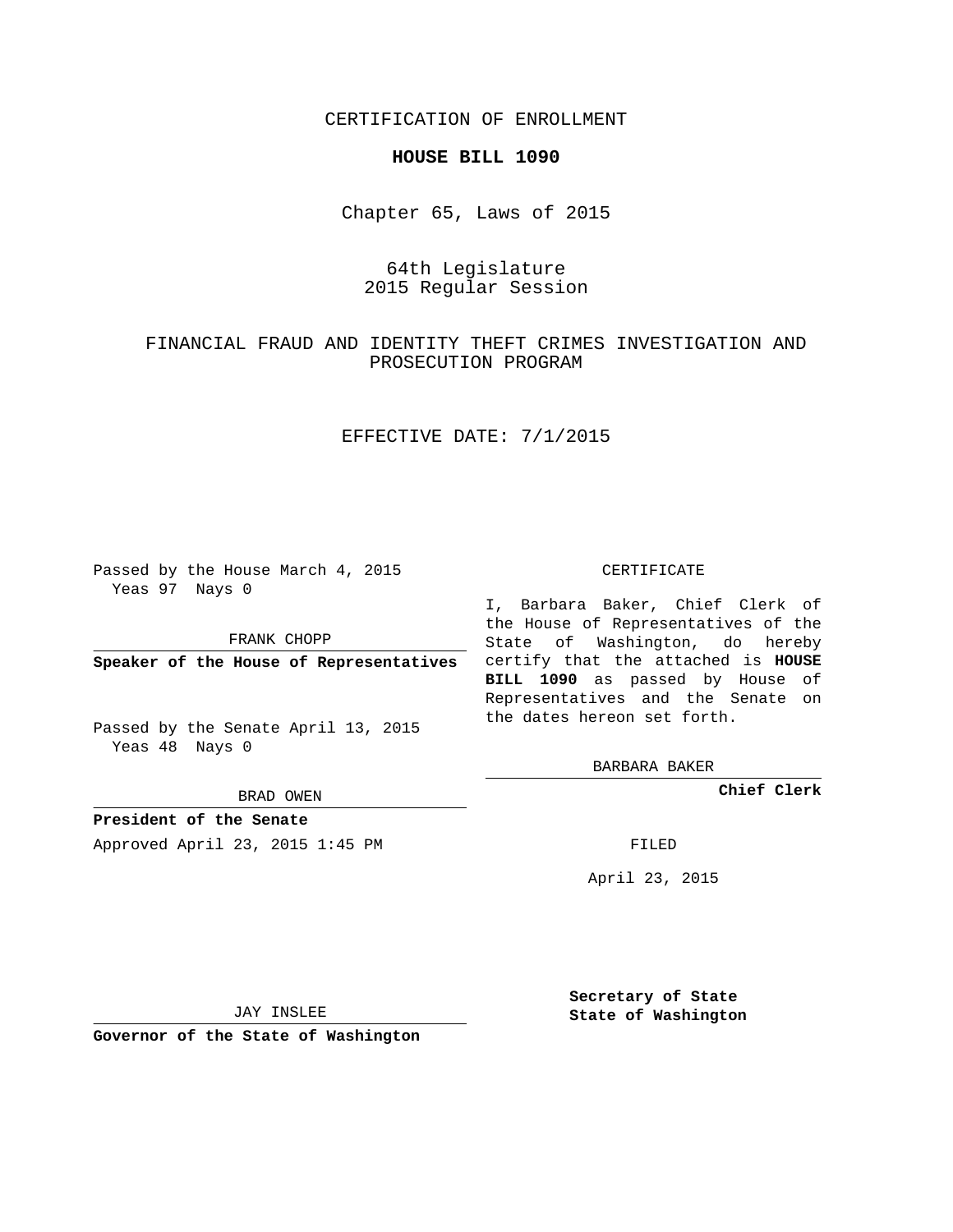CERTIFICATION OF ENROLLMENT

### **HOUSE BILL 1090**

Chapter 65, Laws of 2015

# 64th Legislature 2015 Regular Session

# FINANCIAL FRAUD AND IDENTITY THEFT CRIMES INVESTIGATION AND PROSECUTION PROGRAM

## EFFECTIVE DATE: 7/1/2015

Passed by the House March 4, 2015 Yeas 97 Nays 0

FRANK CHOPP

Passed by the Senate April 13, 2015 Yeas 48 Nays 0

BRAD OWEN

**President of the Senate**

Approved April 23, 2015 1:45 PM FILED

#### CERTIFICATE

**Speaker of the House of Representatives** certify that the attached is **HOUSE** I, Barbara Baker, Chief Clerk of the House of Representatives of the State of Washington, do hereby **BILL 1090** as passed by House of Representatives and the Senate on the dates hereon set forth.

BARBARA BAKER

**Chief Clerk**

April 23, 2015

JAY INSLEE

**Governor of the State of Washington**

**Secretary of State State of Washington**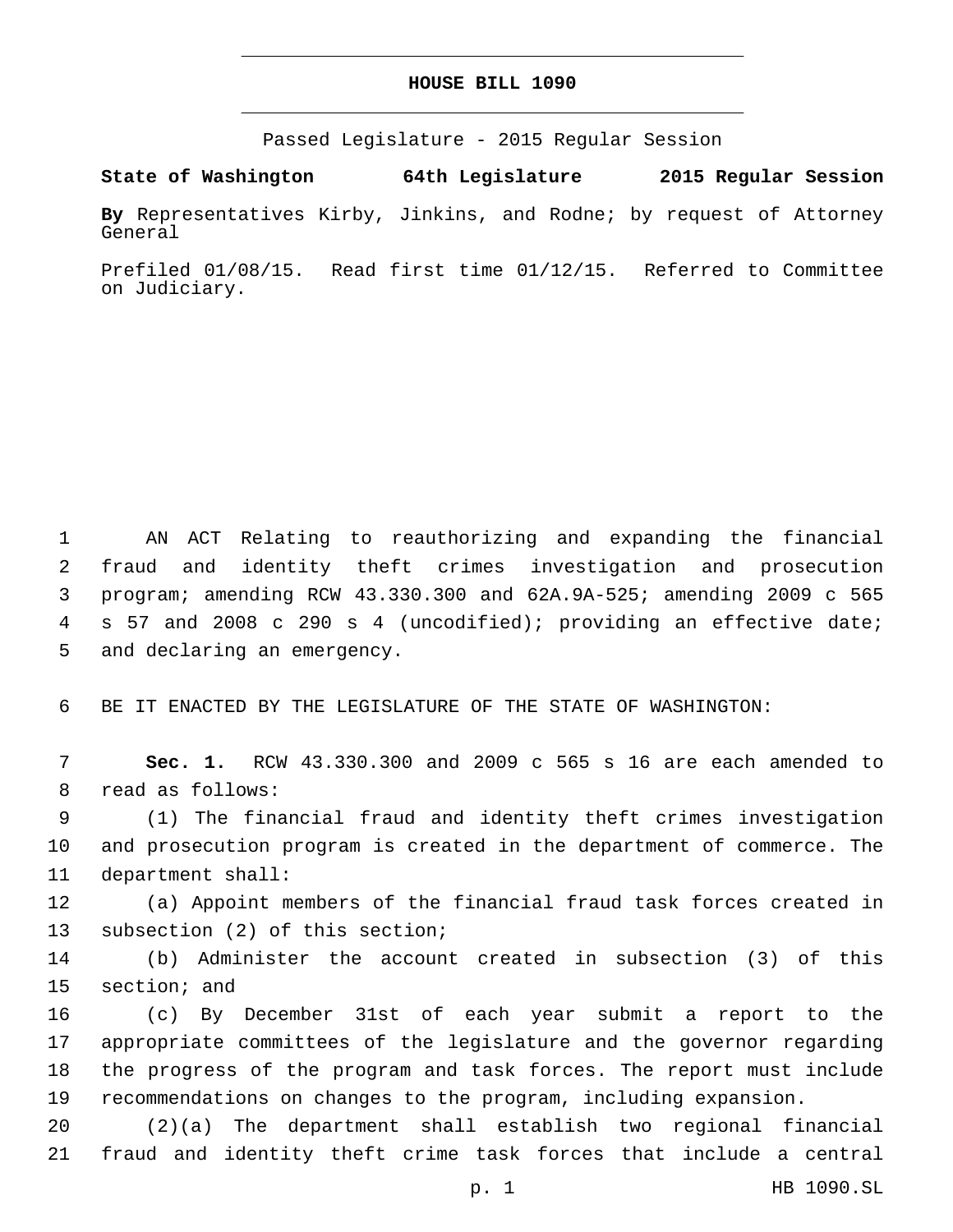## **HOUSE BILL 1090**

Passed Legislature - 2015 Regular Session

**State of Washington 64th Legislature 2015 Regular Session**

**By** Representatives Kirby, Jinkins, and Rodne; by request of Attorney General

Prefiled 01/08/15. Read first time 01/12/15. Referred to Committee on Judiciary.

 AN ACT Relating to reauthorizing and expanding the financial fraud and identity theft crimes investigation and prosecution program; amending RCW 43.330.300 and 62A.9A-525; amending 2009 c 565 s 57 and 2008 c 290 s 4 (uncodified); providing an effective date; 5 and declaring an emergency.

6 BE IT ENACTED BY THE LEGISLATURE OF THE STATE OF WASHINGTON:

7 **Sec. 1.** RCW 43.330.300 and 2009 c 565 s 16 are each amended to 8 read as follows:

9 (1) The financial fraud and identity theft crimes investigation 10 and prosecution program is created in the department of commerce. The 11 department shall:

12 (a) Appoint members of the financial fraud task forces created in 13 subsection (2) of this section;

14 (b) Administer the account created in subsection (3) of this 15 section; and

 (c) By December 31st of each year submit a report to the appropriate committees of the legislature and the governor regarding the progress of the program and task forces. The report must include recommendations on changes to the program, including expansion.

20 (2)(a) The department shall establish two regional financial 21 fraud and identity theft crime task forces that include a central

p. 1 HB 1090.SL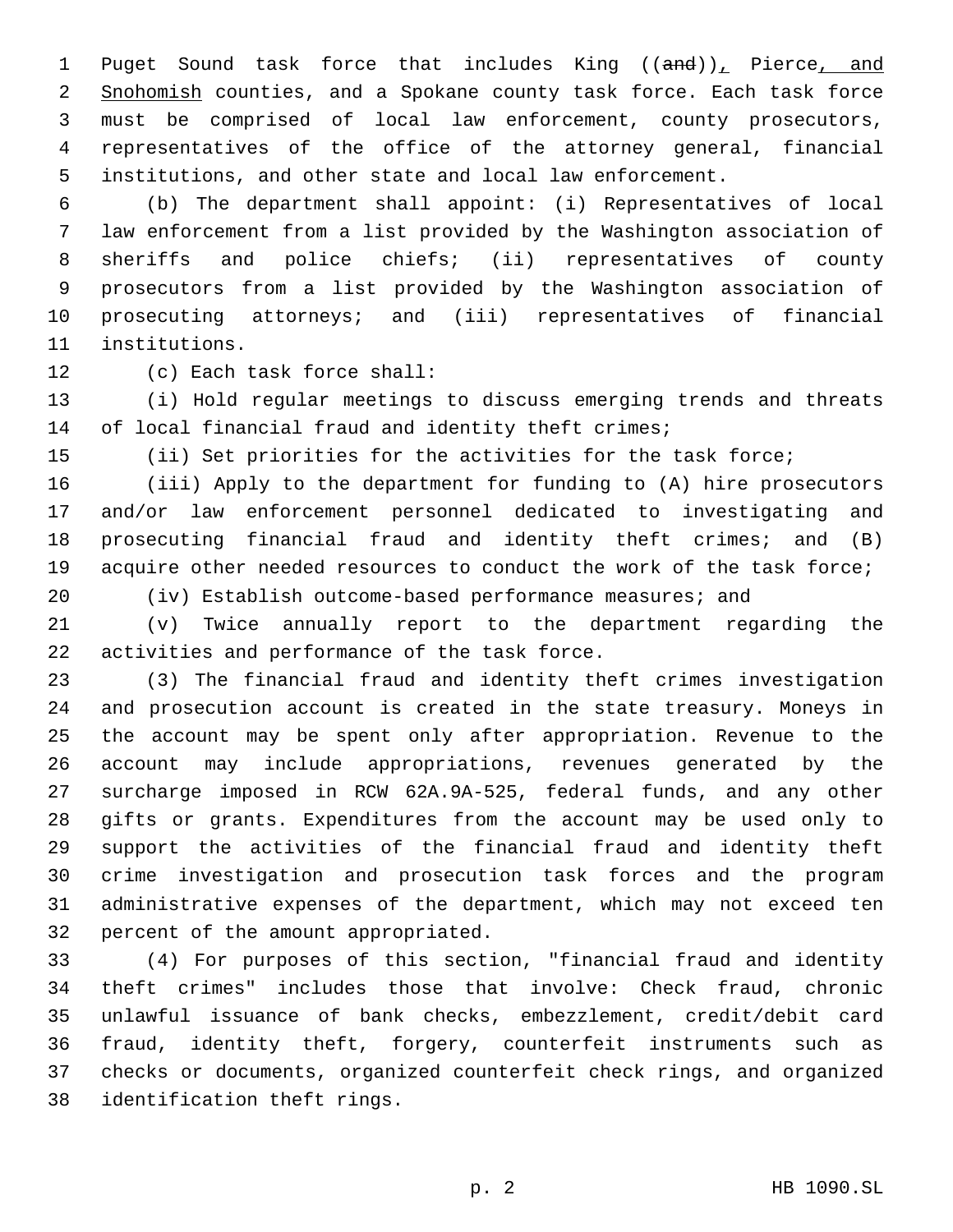1 Puget Sound task force that includes King ((and)), Pierce, and 2 Snohomish counties, and a Spokane county task force. Each task force must be comprised of local law enforcement, county prosecutors, representatives of the office of the attorney general, financial institutions, and other state and local law enforcement.

 (b) The department shall appoint: (i) Representatives of local law enforcement from a list provided by the Washington association of sheriffs and police chiefs; (ii) representatives of county prosecutors from a list provided by the Washington association of prosecuting attorneys; and (iii) representatives of financial 11 institutions.

12 (c) Each task force shall:

 (i) Hold regular meetings to discuss emerging trends and threats 14 of local financial fraud and identity theft crimes;

(ii) Set priorities for the activities for the task force;

 (iii) Apply to the department for funding to (A) hire prosecutors and/or law enforcement personnel dedicated to investigating and prosecuting financial fraud and identity theft crimes; and (B) 19 acquire other needed resources to conduct the work of the task force;

(iv) Establish outcome-based performance measures; and

 (v) Twice annually report to the department regarding the 22 activities and performance of the task force.

 (3) The financial fraud and identity theft crimes investigation and prosecution account is created in the state treasury. Moneys in the account may be spent only after appropriation. Revenue to the account may include appropriations, revenues generated by the surcharge imposed in RCW 62A.9A-525, federal funds, and any other gifts or grants. Expenditures from the account may be used only to support the activities of the financial fraud and identity theft crime investigation and prosecution task forces and the program administrative expenses of the department, which may not exceed ten 32 percent of the amount appropriated.

 (4) For purposes of this section, "financial fraud and identity theft crimes" includes those that involve: Check fraud, chronic unlawful issuance of bank checks, embezzlement, credit/debit card fraud, identity theft, forgery, counterfeit instruments such as checks or documents, organized counterfeit check rings, and organized 38 identification theft rings.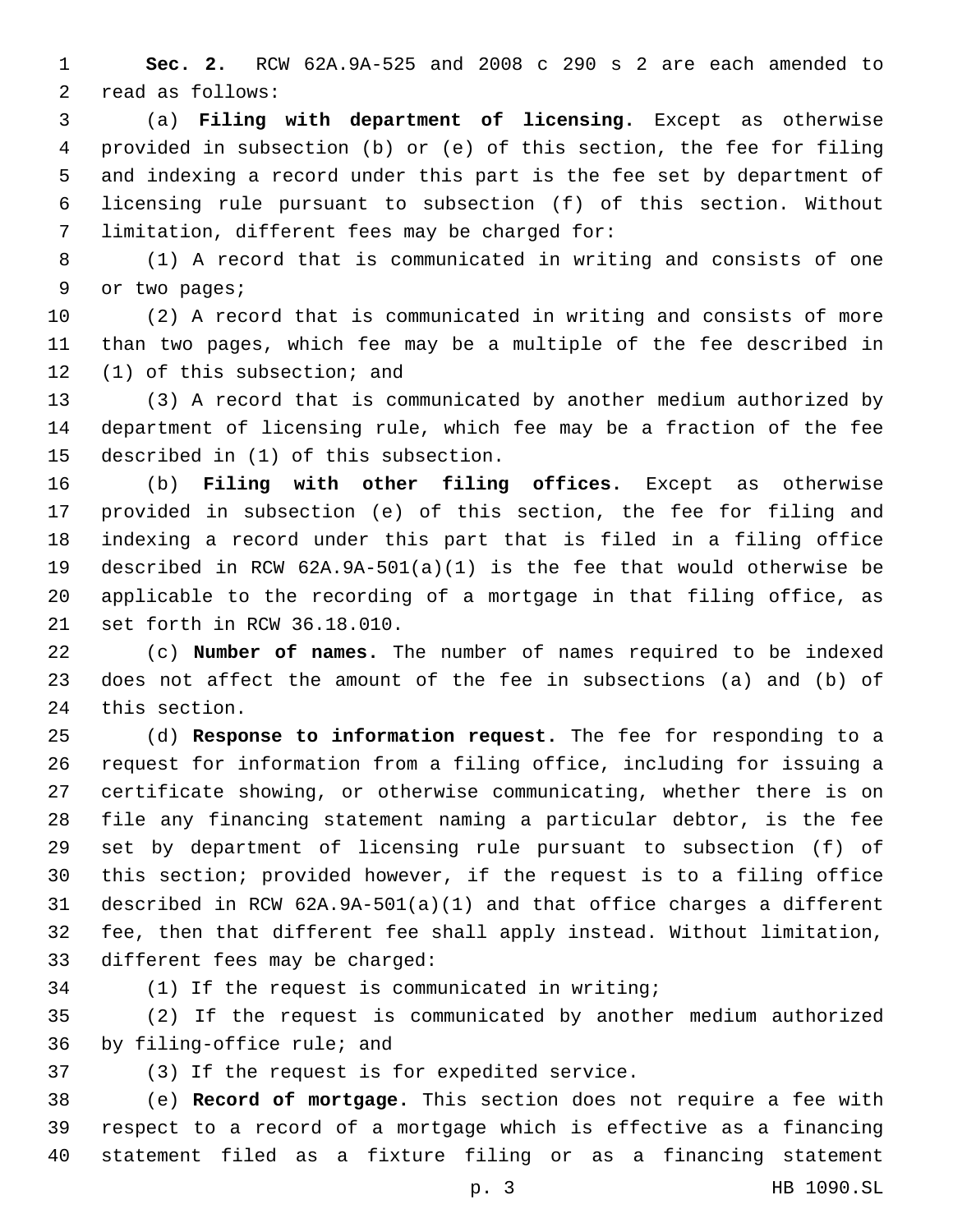**Sec. 2.** RCW 62A.9A-525 and 2008 c 290 s 2 are each amended to 2 read as follows:

 (a) **Filing with department of licensing.** Except as otherwise provided in subsection (b) or (e) of this section, the fee for filing and indexing a record under this part is the fee set by department of licensing rule pursuant to subsection (f) of this section. Without 7 limitation, different fees may be charged for:

 (1) A record that is communicated in writing and consists of one 9 or two pages;

 (2) A record that is communicated in writing and consists of more than two pages, which fee may be a multiple of the fee described in 12 (1) of this subsection; and

 (3) A record that is communicated by another medium authorized by department of licensing rule, which fee may be a fraction of the fee 15 described in (1) of this subsection.

 (b) **Filing with other filing offices.** Except as otherwise provided in subsection (e) of this section, the fee for filing and indexing a record under this part that is filed in a filing office described in RCW 62A.9A-501(a)(1) is the fee that would otherwise be applicable to the recording of a mortgage in that filing office, as 21 set forth in RCW 36.18.010.

 (c) **Number of names.** The number of names required to be indexed does not affect the amount of the fee in subsections (a) and (b) of 24 this section.

 (d) **Response to information request.** The fee for responding to a request for information from a filing office, including for issuing a certificate showing, or otherwise communicating, whether there is on file any financing statement naming a particular debtor, is the fee set by department of licensing rule pursuant to subsection (f) of this section; provided however, if the request is to a filing office described in RCW 62A.9A-501(a)(1) and that office charges a different fee, then that different fee shall apply instead. Without limitation, 33 different fees may be charged:

(1) If the request is communicated in writing;

 (2) If the request is communicated by another medium authorized 36 by filing-office rule; and

37 (3) If the request is for expedited service.

 (e) **Record of mortgage.** This section does not require a fee with respect to a record of a mortgage which is effective as a financing statement filed as a fixture filing or as a financing statement

p. 3 HB 1090.SL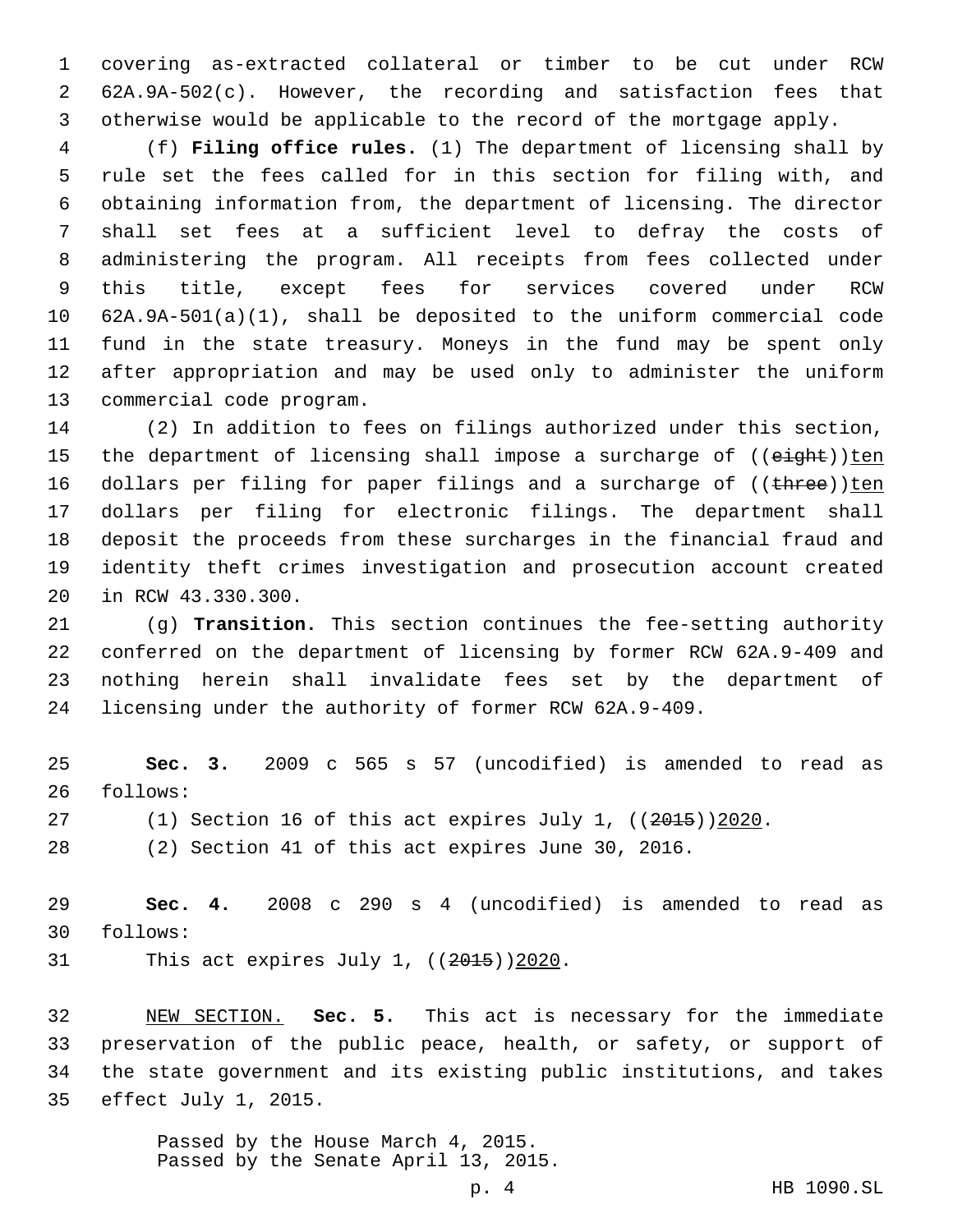covering as-extracted collateral or timber to be cut under RCW 62A.9A-502(c). However, the recording and satisfaction fees that otherwise would be applicable to the record of the mortgage apply.

 (f) **Filing office rules.** (1) The department of licensing shall by rule set the fees called for in this section for filing with, and obtaining information from, the department of licensing. The director shall set fees at a sufficient level to defray the costs of administering the program. All receipts from fees collected under this title, except fees for services covered under RCW 62A.9A-501(a)(1), shall be deposited to the uniform commercial code fund in the state treasury. Moneys in the fund may be spent only after appropriation and may be used only to administer the uniform 13 commercial code program.

 (2) In addition to fees on filings authorized under this section, 15 the department of licensing shall impose a surcharge of  $($ (eight))ten 16 dollars per filing for paper filings and a surcharge of  $((time))$ ten dollars per filing for electronic filings. The department shall deposit the proceeds from these surcharges in the financial fraud and identity theft crimes investigation and prosecution account created 20 in RCW 43.330.300.

 (g) **Transition.** This section continues the fee-setting authority conferred on the department of licensing by former RCW 62A.9-409 and nothing herein shall invalidate fees set by the department of licensing under the authority of former RCW 62A.9-409.

 **Sec. 3.** 2009 c 565 s 57 (uncodified) is amended to read as 26 follows:

- 27 (1) Section 16 of this act expires July 1, ((2015))2020.
- (2) Section 41 of this act expires June 30, 2016.

 **Sec. 4.** 2008 c 290 s 4 (uncodified) is amended to read as follows:30

31 This act expires July 1,  $((2015))2020$ .

 NEW SECTION. **Sec. 5.** This act is necessary for the immediate preservation of the public peace, health, or safety, or support of the state government and its existing public institutions, and takes effect July 1, 2015.

> Passed by the House March 4, 2015. Passed by the Senate April 13, 2015.